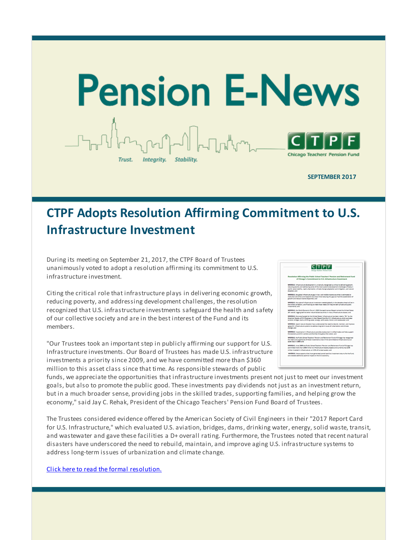

**SEPTEMBER 2017**

# **CTPF Adopts Resolution Affirming Commitment to U.S. Infrastructure Investment**

During its meeting on September 21, 2017, the CTPF Board of Trustees unanimously voted to adopt a resolution affirming its commitment to U.S. infrastructure investment.

Citing the critical role that infrastructure plays in delivering economic growth, reducing poverty, and addressing development challenges, the resolution recognized that U.S. infrastructure investments safeguard the health and safety of our collective society and are in the best interest of the Fund and its members.

"Our Trustees took an important step in publicly affirming our support for U.S. Infrastructure investments. Our Board of Trustees has made U.S. infrastructure investments a priority since 2009, and we have committed more than \$360 million to this asset class since that time. As responsible stewards of public



funds, we appreciate the opportunities that infrastructure investments present not just to meet our investment goals, but also to promote the public good. These investments pay dividends not just as an investment return, but in a much broader sense, providing jobs in the skilled trades, supporting families, and helping grow the economy," said Jay C. Rehak, President of the Chicago Teachers' Pension Fund Board of Trustees.

The Trustees considered evidence offered by the American Society of Civil Engineers in their "2017 Report Card for U.S. Infrastructure," which evaluated U.S. aviation, bridges, dams, drinking water, energy, solid waste, transit, and wastewater and gave these facilities a D+ overall rating. Furthermore, the Trustees noted that recent natural disasters have underscored the need to rebuild, maintain, and improve aging U.S. infrastructure systems to address long-term issues of urbanization and climate change.

Click here to read the formal [resolution.](http://r20.rs6.net/tn.jsp?f=001mzpGxkrs-w4zMFbyEE3dKaOdyaQlDlsBuMebt6DWayrbcehhLGz4VfE4HP3BtiqWKeIYasdYiK--YF5JcY7Y0POsq3iamIknoICBgqAMopwbJJslYYtvXgw7YkjZ2b_F8MNXX2DjHVYfn1sr_xnPmqfp_ZEtwe0x7BC4tIxrOvOW4mlXfvBklIb1ahrVaWDnJfSJQMCyQ9pFPRKDFY0jzAMBPaUaEbr_&c=&ch=)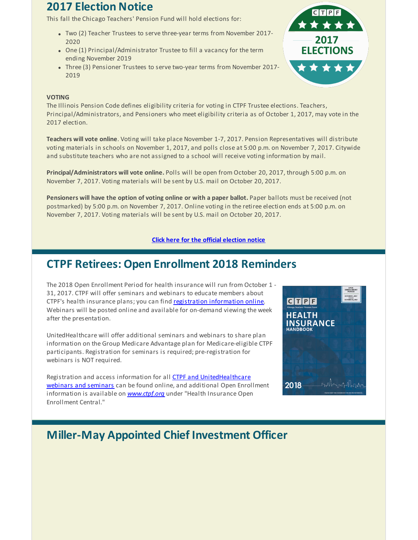### **2017 Election Notice**

This fall the Chicago Teachers' Pension Fund will hold elections for:

- Two (2) Teacher Trustees to serve three-year terms from November 2017- 2020
- One (1) Principal/Administrator Trustee to fill a vacancy for the term ending November 2019
- Three (3) Pensioner Trustees to serve two-year terms from November 2017- 2019



#### **VOTING**

The Illinois Pension Code defines eligibility criteria for voting in CTPF Trustee elections. Teachers, Principal/Administrators, and Pensioners who meet eligibility criteria as of October 1, 2017, may vote in the 2017 election.

**Teachers will vote online**. Voting will take place November 1-7, 2017. Pension Representatives will distribute voting materials in schools on November 1, 2017, and polls close at 5:00 p.m. on November 7, 2017. Citywide and substitute teachers who are not assigned to a school will receive voting information by mail.

**Principal/Administrators will vote online.** Polls will be open from October 20, 2017, through 5:00 p.m. on November 7, 2017. Voting materials will be sent by U.S. mail on October 20, 2017.

**Pensioners will have the option of voting online or with a paper ballot.** Paper ballots must be received (not postmarked) by 5:00 p.m. on November 7, 2017. Online voting in the retiree election ends at 5:00 p.m. on November 7, 2017. Voting materials will be sent by U.S. mail on October 20, 2017.

#### **Click here for the official [election](http://r20.rs6.net/tn.jsp?f=001mzpGxkrs-w4zMFbyEE3dKaOdyaQlDlsBuMebt6DWayrbcehhLGz4VSmTZuPER28gkxkQ4L0cLI40gex6nAl0j8K5dWMBfbiY_r7PP8f72a9j2QuPwpB-a90D_TusnprVSdcboF0VIXs5LO5cm2j41fQiUdakPMQwNsrszSvTfs9BQyeTOFUy2uPDg4RUCMBAsovCwfwJi4MLTpSgxOBX8g==&c=&ch=) notice**

### **CTPF Retirees: Open Enrollment 2018 Reminders**

The 2018 Open Enrollment Period for health insurance will run from October 1 - 31, 2017. CTPF will offer seminars and webinars to educate members about CTPF's health insurance plans; you can find registration [information](http://r20.rs6.net/tn.jsp?f=001mzpGxkrs-w4zMFbyEE3dKaOdyaQlDlsBuMebt6DWayrbcehhLGz4VfE4HP3BtiqWFzurzUdeK35xPh1Rv57sedLcCWrSmCpH_ndhIMDjvwpZmD3cIpn4GeCw0CjcNzj3qeZYRLB5C1-8-s6GWWQPgnZGoWMp3xM9uaVqiGzJ-AxOva0RYx22JG9O9zEuw0N30v_m379VvAnmgtRfT79eRCH5qiCyrTSm&c=&ch=) online. Webinars will be posted online and available for on-demand viewing the week after the presentation.

UnitedHealthcare will offer additional seminars and webinars to share plan information on the Group Medicare Advantage plan for Medicare-eligible CTPF participants. Registration for seminars is required; pre-registration for webinars is NOT required.

Registration and access information for all **CTPF and [UnitedHealthcare](http://r20.rs6.net/tn.jsp?f=001mzpGxkrs-w4zMFbyEE3dKaOdyaQlDlsBuMebt6DWayrbcehhLGz4VfE4HP3BtiqWFzurzUdeK35xPh1Rv57sedLcCWrSmCpH_ndhIMDjvwpZmD3cIpn4GeCw0CjcNzj3qeZYRLB5C1-8-s6GWWQPgnZGoWMp3xM9uaVqiGzJ-AxOva0RYx22JG9O9zEuw0N30v_m379VvAnmgtRfT79eRCH5qiCyrTSm&c=&ch=)** webinars and seminars can be found online, and additional Open Enrollment information is available on *[www.ctpf.org](http://r20.rs6.net/tn.jsp?f=001mzpGxkrs-w4zMFbyEE3dKaOdyaQlDlsBuMebt6DWayrbcehhLGz4VZJ0G3WzgCalNuqPCfXN0OaJErXdxqP8eyLFo6OR_izegtLrDyf6FnTp03aBtLNccdpmUBBIcwsaAAJ5WxogeD9JmUsr402jfPaKAqhnTNBsoW6718XMUK5p8e5GKe4s-HiyzmR4YKPKpgo8snI9bLJ9P-cbzWC1wQ==&c=&ch=)* under "Health Insurance Open Enrollment Central*.*"



# **Miller-May Appointed Chief Investment Officer**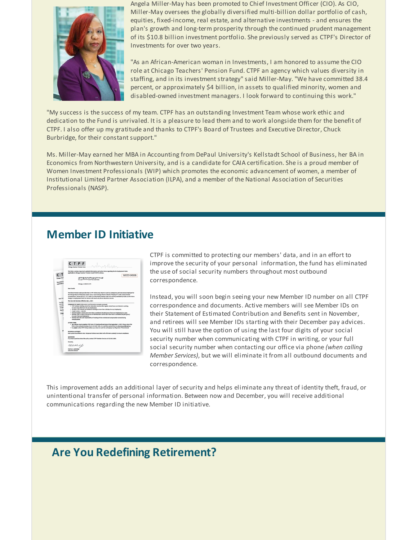

Angela Miller-May has been promoted to Chief Investment Officer (CIO). As CIO, Miller-May oversees the globally diversified multi-billion dollar portfolio of cash, equities, fixed-income, real estate, and alternative investments - and ensures the plan's growth and long-term prosperity through the continued prudent management of its \$10.8 billion investment portfolio. She previously served as CTPF's Director of Investments for over two years.

"As an African-American woman in Investments, I am honored to assume the CIO role at Chicago Teachers' Pension Fund. CTPF an agency which values diversity in staffing, and in its investment strategy" said Miller-May. "We have committed 38.4 percent, or approximately \$4 billion, in assets to qualified minority, women and disabled-owned investment managers. I look forward to continuing this work."

"My success is the success of my team. CTPF has an outstanding Investment Team whose work ethic and dedication to the Fund is unrivaled. It is a pleasure to lead them and to work alongside them for the benefit of CTPF. I also offer up my gratitude and thanks to CTPF's Board of Trustees and Executive Director, Chuck Burbridge, for their constant support."

Ms. Miller-May earned her MBA in Accounting from DePaul University's Kellstadt School of Business, her BA in Economics from Northwestern University, and is a candidate for CAIA certification. She is a proud member of Women Investment Professionals (WIP) which promotes the economic advancement of women, a member of Institutional Limited Partner Association (ILPA), and a member of the National Association of Securities Professionals (NASP).

### **Member ID Initiative**



CTPF is committed to protecting our members' data, and in an effort to improve the security of your personal information, the fund has eliminated the use of social security numbers throughout most outbound correspondence.

Instead, you will soon begin seeing your new Member ID number on all CTPF correspondence and documents. Active members will see Member IDs on their Statement of Estimated Contribution and Benefits sent in November, and retirees will see Member IDs starting with their December pay advices. You will still have the option of using the last four digits of your social security number when communicating with CTPF in writing, or your full social security number when contacting our office via phone *(when calling Member Services)*, but we will eliminate it from all outbound documents and correspondence.

This improvement adds an additional layer of security and helps eliminate any threat of identity theft, fraud, or unintentional transfer of personal information. Between now and December, you will receive additional communications regarding the new Member ID initiative.

### **Are You Redefining Retirement?**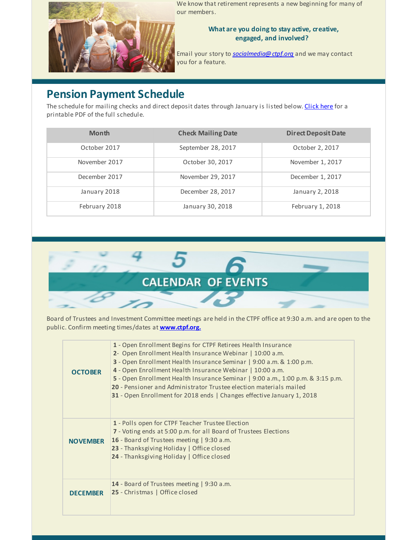

We know that retirement represents a new beginning for many of our members.

### **What are you doing to stay active, creative, engaged, and involved?**

Email your story to *[socialmedia@ctpf.org](mailto:socialmedia@ctpf.org)* and we may contact you for a feature.

# **Pension Payment Schedule**

The schedule for mailing checks and direct deposit dates through January is listed below. [Click](http://r20.rs6.net/tn.jsp?f=001mzpGxkrs-w4zMFbyEE3dKaOdyaQlDlsBuMebt6DWayrbcehhLGz4VSmTZuPER28gIHQs2gOWHqzP7VqxXp8G9CHoembldX3RcD55L3knP94g5we9_hlGV6NIZOI1Fcqyfn2yO1ouHR81TvGd_JbOomsHsNbKOteyL4DNuAYpXVfxJLjFyNq2YEkV5Y1U3LMLZ1y_-9FoYlJ80HskAJ_PmA==&c=&ch=) here for a printable PDF of the full schedule.

| <b>Month</b>  | <b>Check Mailing Date</b> | <b>Direct Deposit Date</b> |
|---------------|---------------------------|----------------------------|
| October 2017  | September 28, 2017        | October 2, 2017            |
| November 2017 | October 30, 2017          | November 1, 2017           |
| December 2017 | November 29, 2017         | December 1, 2017           |
| January 2018  | December 28, 2017         | January 2, 2018            |
| February 2018 | January 30, 2018          | February 1, 2018           |



Board of Trustees and Investment Committee meetings are held in the CTPF office at 9:30 a.m. and are open to the public. Confirm meeting times/dates at **[www.ctpf.org.](http://r20.rs6.net/tn.jsp?f=001mzpGxkrs-w4zMFbyEE3dKaOdyaQlDlsBuMebt6DWayrbcehhLGz4VdVIIRpzKls6LofPoG_wha4OcwRGIRX99cLPVNFno77dUYDLViYyMnDT3qZpziCUG4M6ughrAPyTRmyQsodxMk7g8qqoUZuDsWMIbx0yoB5jGT_MJXeakZyokPvVWR4BTQN5vxe6owo7Bt0vpqXfDEc=&c=&ch=)**

| <b>OCTOBER</b>  | 1 - Open Enrollment Begins for CTPF Retirees Health Insurance<br>2- Open Enrollment Health Insurance Webinar   10:00 a.m.<br>3 - Open Enrollment Health Insurance Seminar   9:00 a.m. & 1:00 p.m.<br>4 - Open Enrollment Health Insurance Webinar   10:00 a.m.<br>5 - Open Enrollment Health Insurance Seminar   9:00 a.m., 1:00 p.m. & 3:15 p.m.<br>20 - Pensioner and Administrator Trustee election materials mailed<br>31 - Open Enrollment for 2018 ends   Changes effective January 1, 2018 |
|-----------------|---------------------------------------------------------------------------------------------------------------------------------------------------------------------------------------------------------------------------------------------------------------------------------------------------------------------------------------------------------------------------------------------------------------------------------------------------------------------------------------------------|
| <b>NOVEMBER</b> | 1 - Polls open for CTPF Teacher Trustee Election<br>7 - Voting ends at 5:00 p.m. for all Board of Trustees Elections<br>16 - Board of Trustees meeting   9:30 a.m.<br>23 - Thanksgiving Holiday   Office closed<br>24 - Thanksgiving Holiday   Office closed                                                                                                                                                                                                                                      |
| <b>DECEMBER</b> | 14 - Board of Trustees meeting   9:30 a.m.<br>25 - Christmas   Office closed                                                                                                                                                                                                                                                                                                                                                                                                                      |